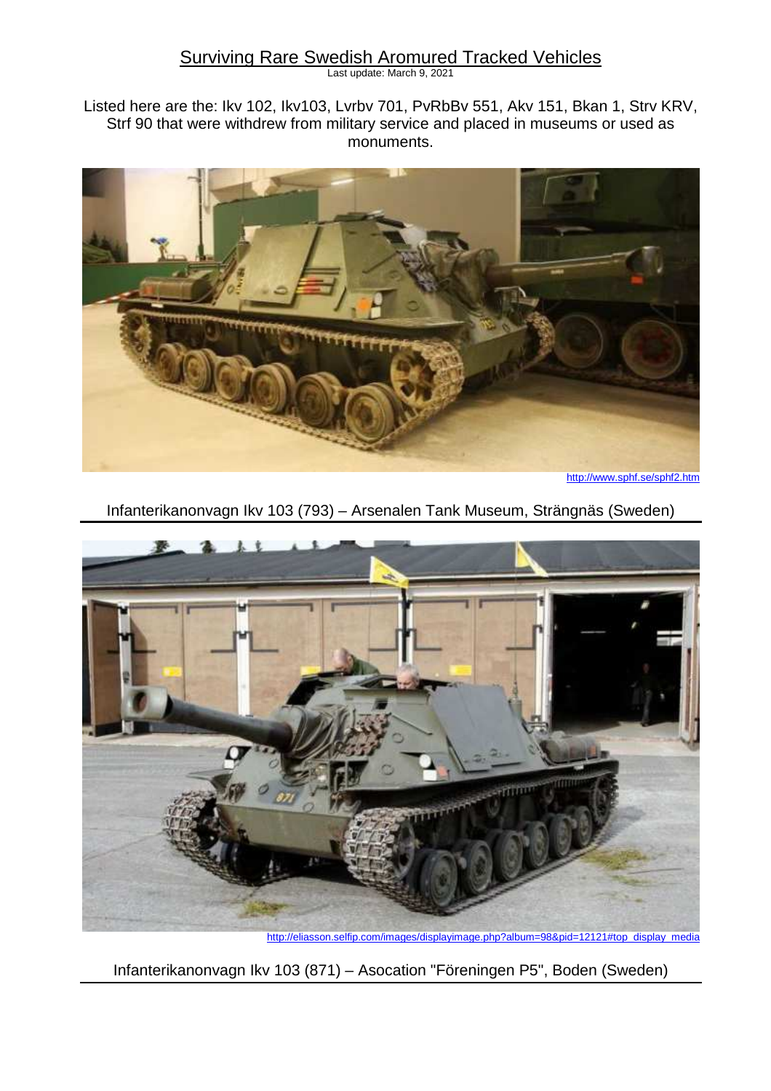### Surviving Rare Swedish Aromured Tracked Vehicles

Last update: March 9, 2021

Listed here are the: Ikv 102, Ikv103, Lvrbv 701, PvRbBv 551, Akv 151, Bkan 1, Strv KRV, Strf 90 that were withdrew from military service and placed in museums or used as monuments.



http://www.sphf.se/sphf2.htm

Infanterikanonvagn Ikv 103 (793) – Arsenalen Tank Museum, Strängnäs (Sweden)



http://eliasson.selfip.com/images/displayimage.php?album=98&pid=12121#top\_display\_media

Infanterikanonvagn Ikv 103 (871) – Asocation "Föreningen P5", Boden (Sweden)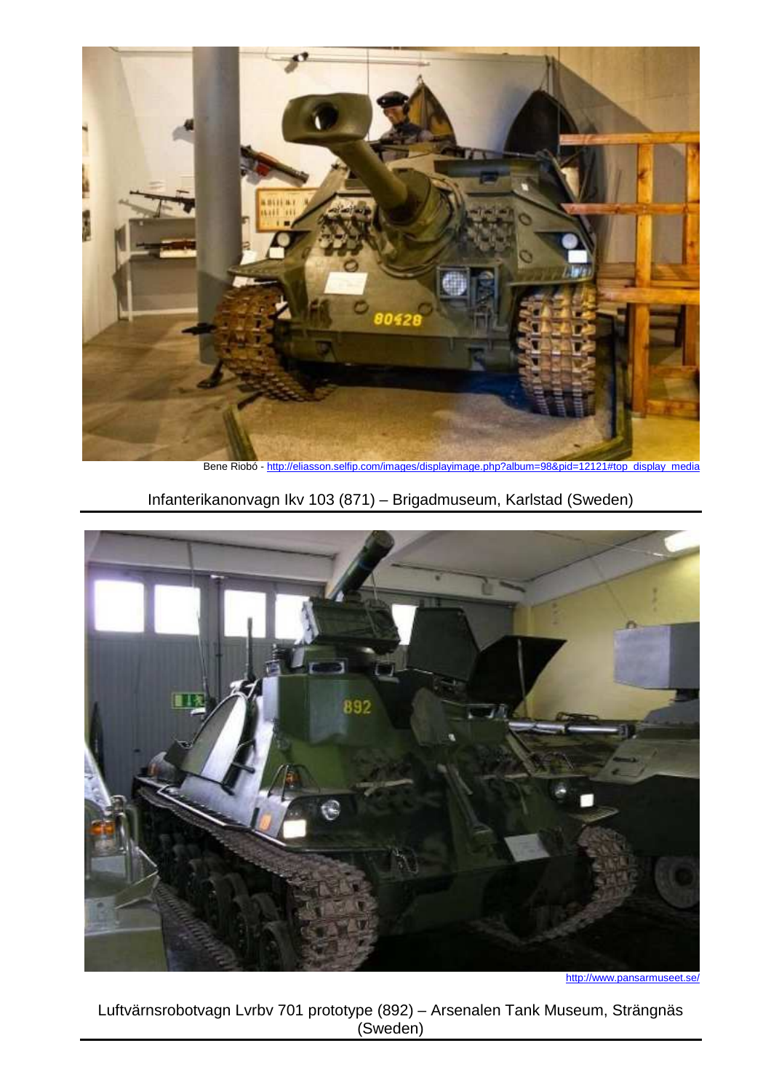

Bene Riobó - http://eliasson.selfip.com/images/displayimage.php?album=98&pid=12121#top\_display\_media

# Infanterikanonvagn Ikv 103 (871) – Brigadmuseum, Karlstad (Sweden)



http://www.pansarmuseet.se/

Luftvärnsrobotvagn Lvrbv 701 prototype (892) – Arsenalen Tank Museum, Strängnäs (Sweden)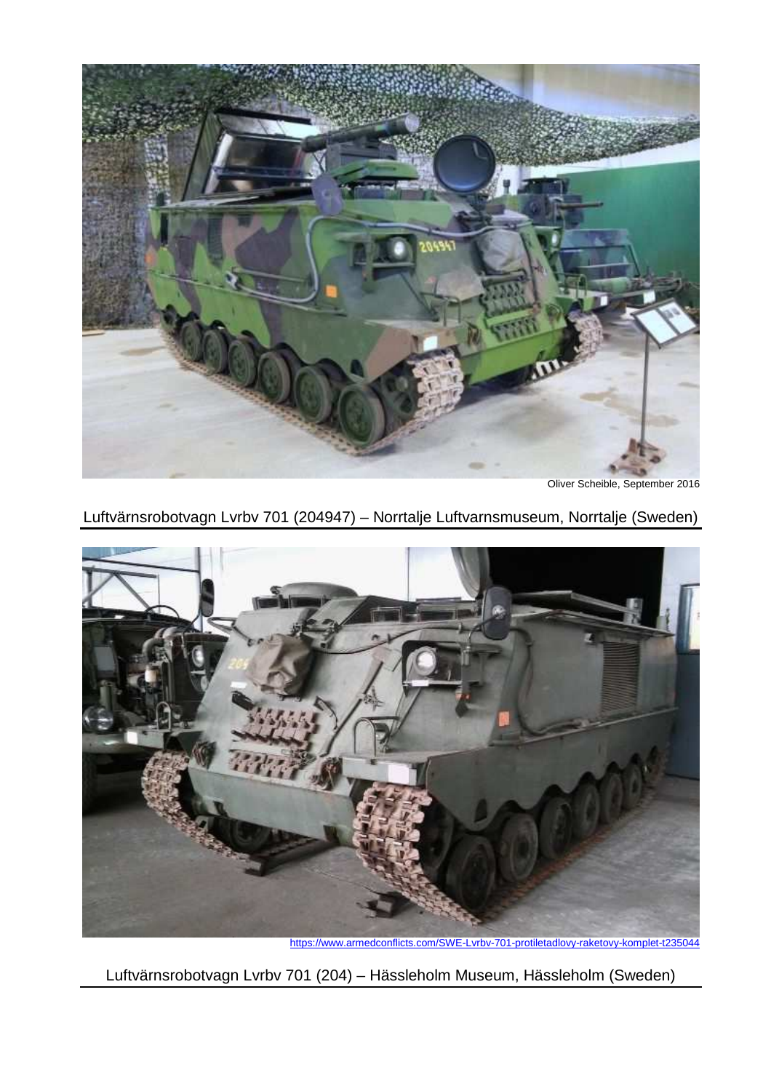

Oliver Scheible, September 2016

# Luftvärnsrobotvagn Lvrbv 701 (204947) – Norrtalje Luftvarnsmuseum, Norrtalje (Sweden)



https://www.armedconflicts.com/SWE-Lvrbv-701-protiletadlovy-raketovy-komplet-t235044

Luftvärnsrobotvagn Lvrbv 701 (204) – Hässleholm Museum, Hässleholm (Sweden)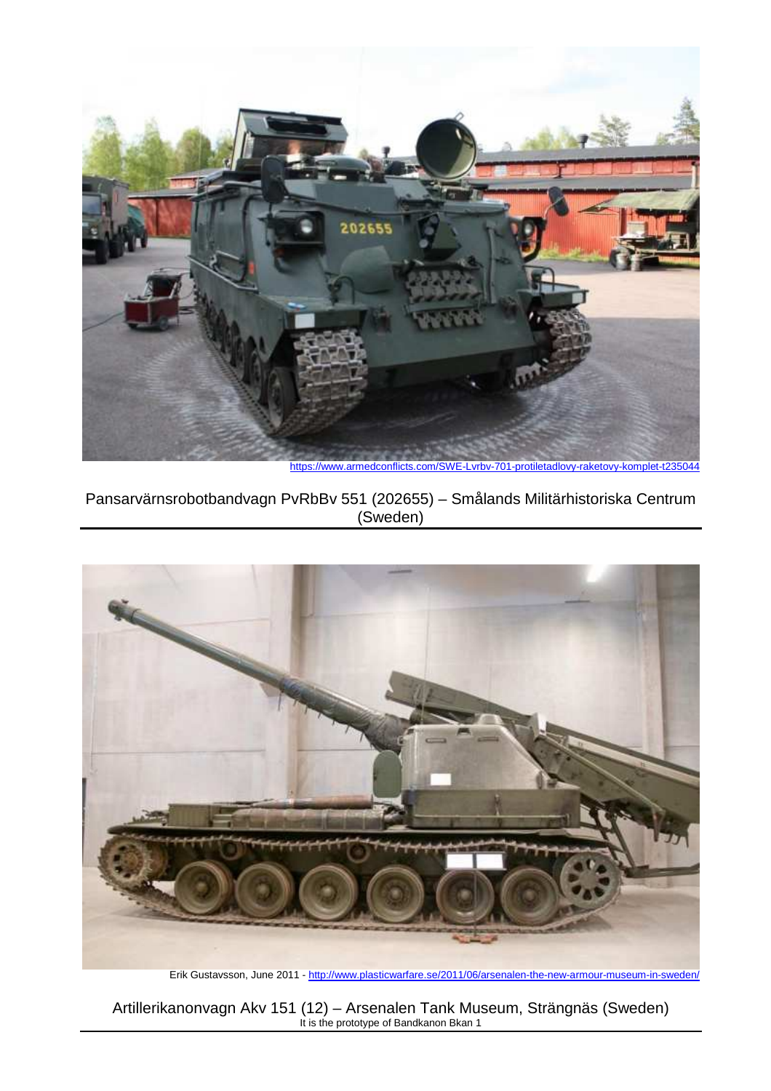

https://www.armedconflicts.com/SWE-Lvrbv-701-protiletadlovy-raketovy-komplet-t235044

Pansarvärnsrobotbandvagn PvRbBv 551 (202655) – Smålands Militärhistoriska Centrum (Sweden)



Erik Gustavsson, June 2011 - http://www.plasticwarfare.se/2011/06/arsenalen-the-new-armour-museum-in-sweden/

Artillerikanonvagn Akv 151 (12) – Arsenalen Tank Museum, Strängnäs (Sweden) It is the prototype of Bandkanon Bkan 1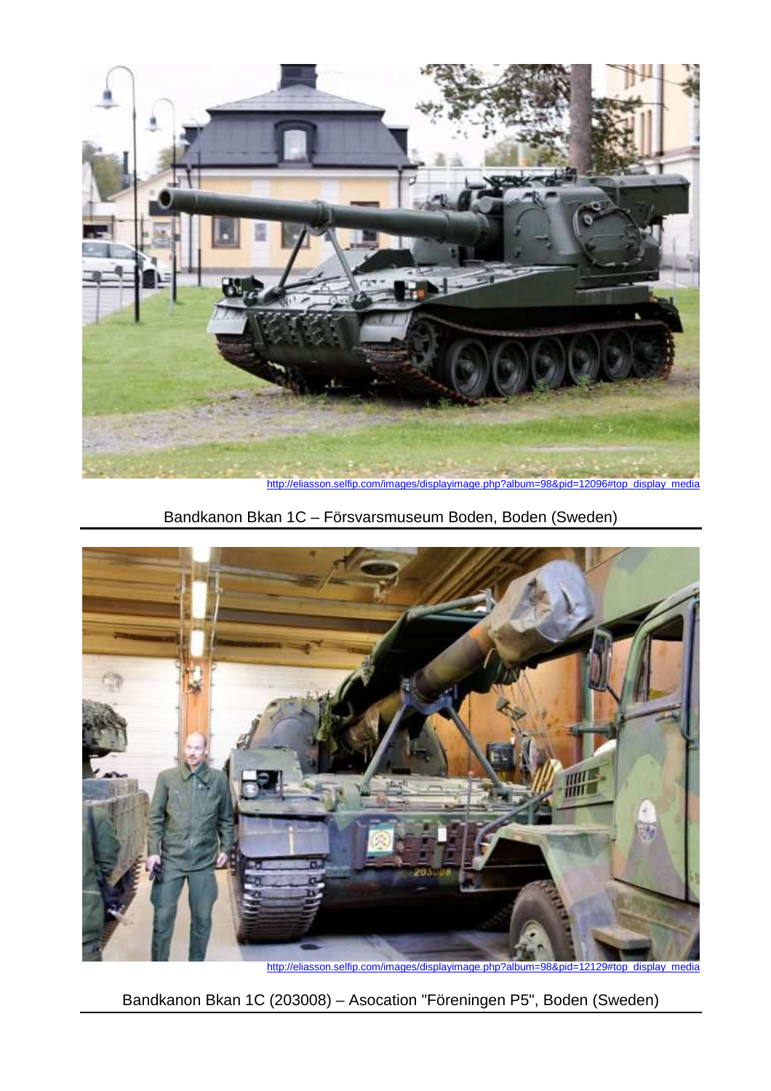

http://eliasson.selfip.com/images/displayimage.php?album=98&pid=12096#top\_display\_media

Bandkanon Bkan 1C – Försvarsmuseum Boden, Boden (Sweden)



Bandkanon Bkan 1C (203008) – Asocation "Föreningen P5", Boden (Sweden)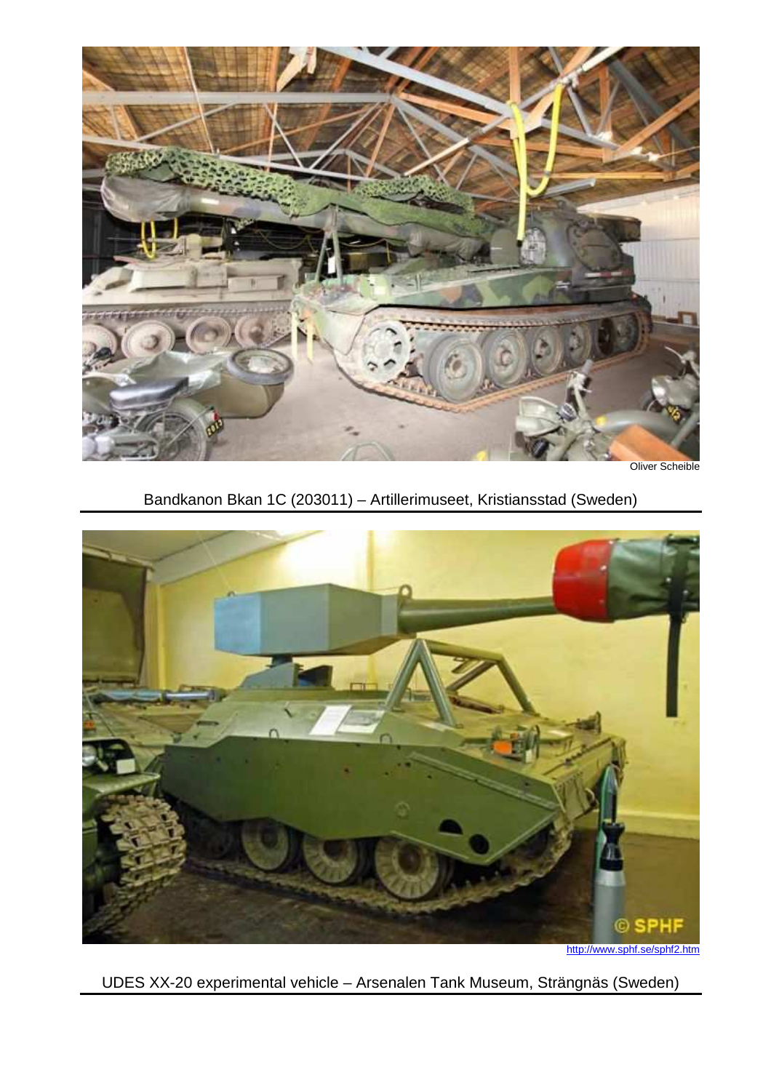

Oliver Scheible

Bandkanon Bkan 1C (203011) – Artillerimuseet, Kristiansstad (Sweden)



UDES XX-20 experimental vehicle – Arsenalen Tank Museum, Strängnäs (Sweden)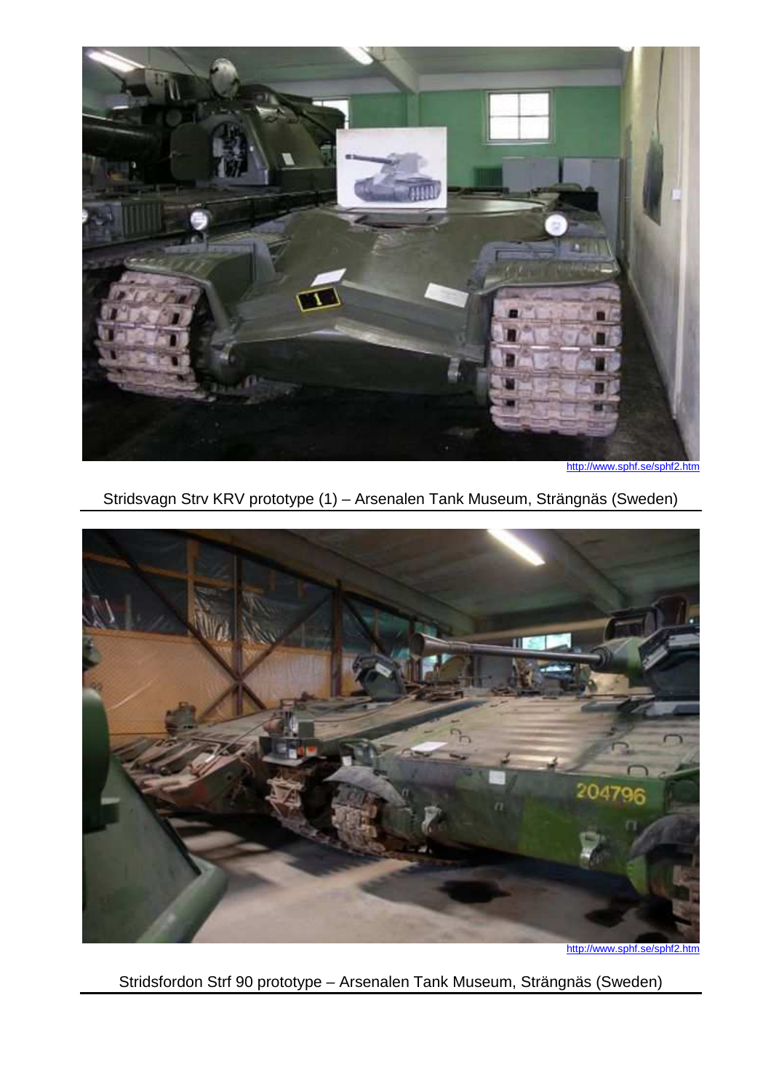

http://www.sphf.se/sphf2.htm

Stridsvagn Strv KRV prototype (1) – Arsenalen Tank Museum, Strängnäs (Sweden)



http://www.sphf.se/sphf2.htm

Stridsfordon Strf 90 prototype – Arsenalen Tank Museum, Strängnäs (Sweden)